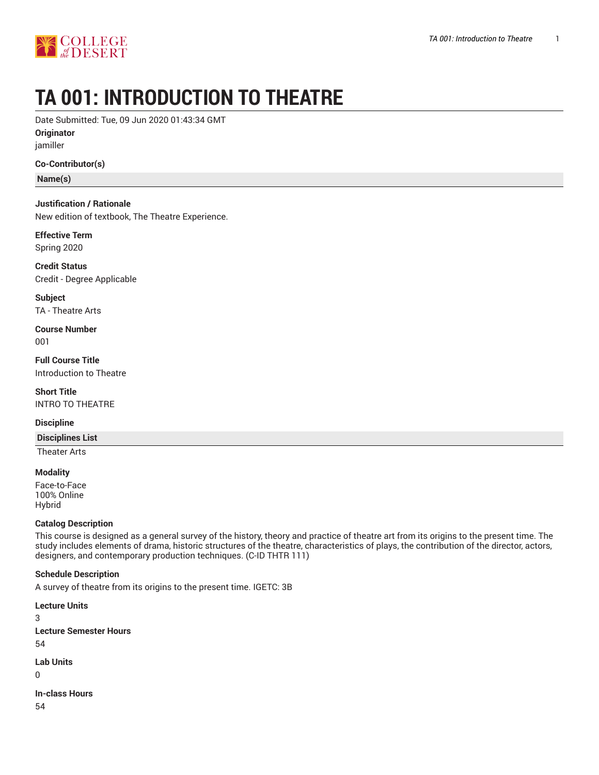

# **TA 001: INTRODUCTION TO THEATRE**

Date Submitted: Tue, 09 Jun 2020 01:43:34 GMT

**Originator** jamiller

**Co-Contributor(s)**

**Name(s)**

**Justification / Rationale** New edition of textbook, The Theatre Experience.

**Effective Term** Spring 2020

**Credit Status** Credit - Degree Applicable

**Subject** TA - Theatre Arts

**Course Number** 001

**Full Course Title** Introduction to Theatre

**Short Title** INTRO TO THEATRE

## **Discipline**

**Disciplines List**

Theater Arts

**Modality** Face-to-Face 100% Online Hybrid

## **Catalog Description**

This course is designed as a general survey of the history, theory and practice of theatre art from its origins to the present time. The study includes elements of drama, historic structures of the theatre, characteristics of plays, the contribution of the director, actors, designers, and contemporary production techniques. (C-ID THTR 111)

## **Schedule Description**

A survey of theatre from its origins to the present time. IGETC: 3B

**Lecture Units** 3 **Lecture Semester Hours** 54 **Lab Units**

0

**In-class Hours**

54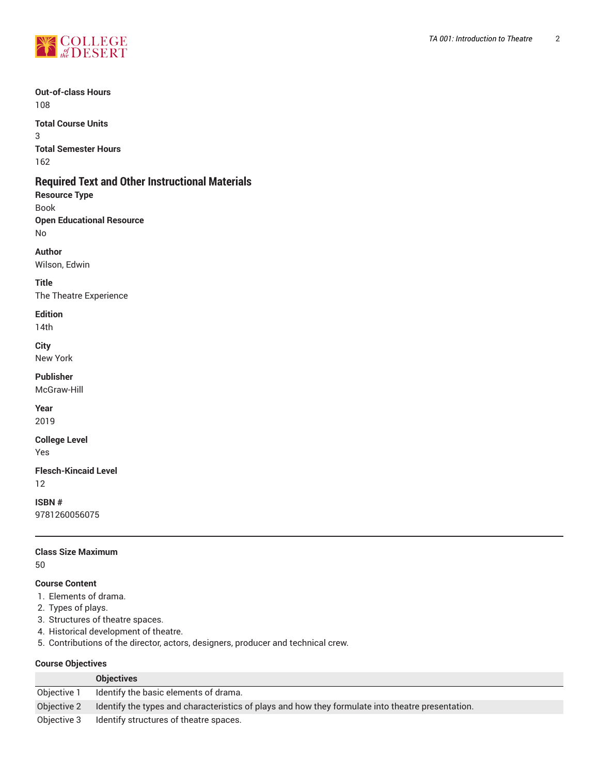

#### **Out-of-class Hours** 108

**Total Course Units** 3 **Total Semester Hours** 162

## **Required Text and Other Instructional Materials**

**Resource Type** Book **Open Educational Resource** No

**Author**

Wilson, Edwin

**Title** The Theatre Experience

## **Edition**

14th

**City**

New York

## **Publisher**

McGraw-Hill

**Year** 2019

## **College Level**

Yes

### **Flesch-Kincaid Level** 12

**ISBN #** 9781260056075

## **Class Size Maximum**

50

## **Course Content**

- 1. Elements of drama.
- 2. Types of plays.
- 3. Structures of theatre spaces.
- 4. Historical development of theatre.
- 5. Contributions of the director, actors, designers, producer and technical crew.

## **Course Objectives**

|             | <b>Objectives</b>                                                                                 |
|-------------|---------------------------------------------------------------------------------------------------|
| Objective 1 | Identify the basic elements of drama.                                                             |
| Objective 2 | Identify the types and characteristics of plays and how they formulate into theatre presentation. |
| Objective 3 | Identify structures of theatre spaces.                                                            |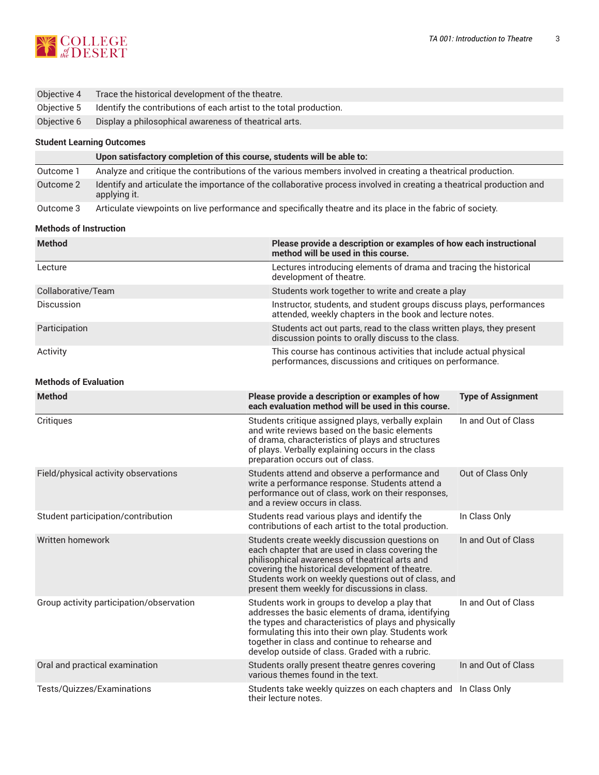

| Objective 4 | Trace the historical development of the theatre.                               |
|-------------|--------------------------------------------------------------------------------|
|             | Objective 5 Identify the contributions of each artist to the total production. |
| Objective 6 | Display a philosophical awareness of theatrical arts.                          |

#### **Student Learning Outcomes**

|           | Upon satisfactory completion of this course, students will be able to:                                                               |
|-----------|--------------------------------------------------------------------------------------------------------------------------------------|
| Outcome 1 | Analyze and critique the contributions of the various members involved in creating a theatrical production.                          |
| Outcome 2 | Identify and articulate the importance of the collaborative process involved in creating a theatrical production and<br>applying it. |
| Outcome 3 | Articulate viewpoints on live performance and specifically theatre and its place in the fabric of society.                           |

#### **Methods of Instruction**

| <b>Method</b>      | Please provide a description or examples of how each instructional<br>method will be used in this course.                        |
|--------------------|----------------------------------------------------------------------------------------------------------------------------------|
| Lecture            | Lectures introducing elements of drama and tracing the historical<br>development of theatre.                                     |
| Collaborative/Team | Students work together to write and create a play                                                                                |
| <b>Discussion</b>  | Instructor, students, and student groups discuss plays, performances<br>attended, weekly chapters in the book and lecture notes. |
| Participation      | Students act out parts, read to the class written plays, they present<br>discussion points to orally discuss to the class.       |
| Activity           | This course has continous activities that include actual physical<br>performances, discussions and critiques on performance.     |

### **Methods of Evaluation**

| <b>Method</b>                            | Please provide a description or examples of how<br>each evaluation method will be used in this course.                                                                                                                                                                                                                    | <b>Type of Assignment</b> |
|------------------------------------------|---------------------------------------------------------------------------------------------------------------------------------------------------------------------------------------------------------------------------------------------------------------------------------------------------------------------------|---------------------------|
| Critiques                                | Students critique assigned plays, verbally explain<br>and write reviews based on the basic elements<br>of drama, characteristics of plays and structures<br>of plays. Verbally explaining occurs in the class<br>preparation occurs out of class.                                                                         | In and Out of Class       |
| Field/physical activity observations     | Students attend and observe a performance and<br>write a performance response. Students attend a<br>performance out of class, work on their responses,<br>and a review occurs in class.                                                                                                                                   | Out of Class Only         |
| Student participation/contribution       | Students read various plays and identify the<br>contributions of each artist to the total production.                                                                                                                                                                                                                     | In Class Only             |
| Written homework                         | Students create weekly discussion questions on<br>each chapter that are used in class covering the<br>philisophical awareness of theatrical arts and<br>covering the historical development of theatre.<br>Students work on weekly questions out of class, and<br>present them weekly for discussions in class.           | In and Out of Class       |
| Group activity participation/observation | Students work in groups to develop a play that<br>addresses the basic elements of drama, identifying<br>the types and characteristics of plays and physically<br>formulating this into their own play. Students work<br>together in class and continue to rehearse and<br>develop outside of class. Graded with a rubric. | In and Out of Class       |
| Oral and practical examination           | Students orally present theatre genres covering<br>various themes found in the text.                                                                                                                                                                                                                                      | In and Out of Class       |
| Tests/Quizzes/Examinations               | Students take weekly quizzes on each chapters and<br>their lecture notes.                                                                                                                                                                                                                                                 | In Class Only             |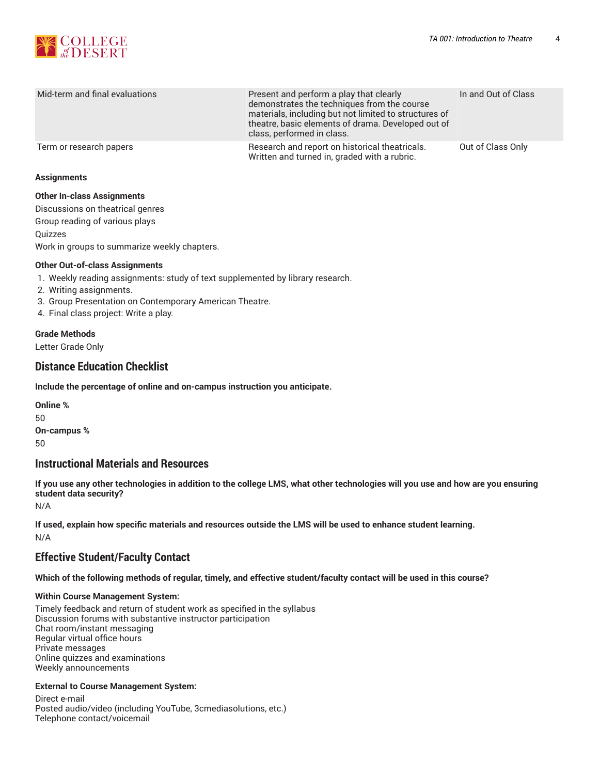

| Mid-term and final evaluations | Present and perform a play that clearly<br>demonstrates the techniques from the course<br>materials, including but not limited to structures of<br>theatre, basic elements of drama. Developed out of<br>class, performed in class. | In and Out of Class |
|--------------------------------|-------------------------------------------------------------------------------------------------------------------------------------------------------------------------------------------------------------------------------------|---------------------|
|                                |                                                                                                                                                                                                                                     |                     |
| Term or research papers        | Research and report on historical theatricals.<br>Written and turned in, graded with a rubric.                                                                                                                                      | Out of Class Only   |

#### **Assignments**

#### **Other In-class Assignments**

Discussions on theatrical genres Group reading of various plays **Ouizzes** 

Work in groups to summarize weekly chapters.

## **Other Out-of-class Assignments**

- 1. Weekly reading assignments: study of text supplemented by library research.
- 2. Writing assignments.
- 3. Group Presentation on Contemporary American Theatre.
- 4. Final class project: Write a play.

## **Grade Methods**

Letter Grade Only

## **Distance Education Checklist**

**Include the percentage of online and on-campus instruction you anticipate.**

**Online %** 50 **On-campus %** 50

## **Instructional Materials and Resources**

If you use any other technologies in addition to the college LMS, what other technologies will you use and how are you ensuring **student data security?**

N/A

**If used, explain how specific materials and resources outside the LMS will be used to enhance student learning.** N/A

## **Effective Student/Faculty Contact**

Which of the following methods of regular, timely, and effective student/faculty contact will be used in this course?

## **Within Course Management System:**

Timely feedback and return of student work as specified in the syllabus Discussion forums with substantive instructor participation Chat room/instant messaging Regular virtual office hours Private messages Online quizzes and examinations Weekly announcements

## **External to Course Management System:**

Direct e-mail Posted audio/video (including YouTube, 3cmediasolutions, etc.) Telephone contact/voicemail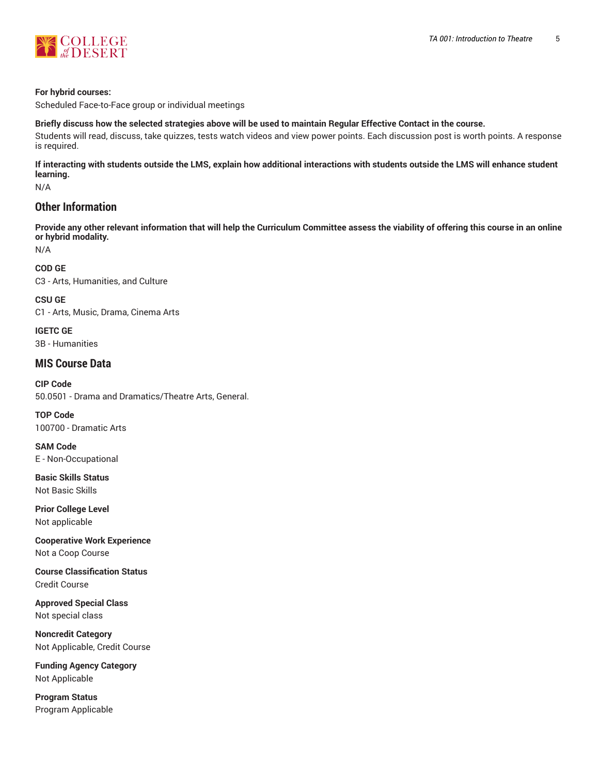

#### **For hybrid courses:**

Scheduled Face-to-Face group or individual meetings

#### Briefly discuss how the selected strategies above will be used to maintain Regular Effective Contact in the course.

Students will read, discuss, take quizzes, tests watch videos and view power points. Each discussion post is worth points. A response is required.

**If interacting with students outside the LMS, explain how additional interactions with students outside the LMS will enhance student learning.**

N/A

## **Other Information**

Provide any other relevant information that will help the Curriculum Committee assess the viability of offering this course in an online **or hybrid modality.**

N/A

#### **COD GE**

C3 - Arts, Humanities, and Culture

**CSU GE** C1 - Arts, Music, Drama, Cinema Arts

**IGETC GE** 3B - Humanities

## **MIS Course Data**

**CIP Code** 50.0501 - Drama and Dramatics/Theatre Arts, General.

**TOP Code** 100700 - Dramatic Arts

**SAM Code** E - Non-Occupational

**Basic Skills Status** Not Basic Skills

**Prior College Level** Not applicable

**Cooperative Work Experience** Not a Coop Course

**Course Classification Status** Credit Course

**Approved Special Class** Not special class

**Noncredit Category** Not Applicable, Credit Course

**Funding Agency Category** Not Applicable

**Program Status** Program Applicable